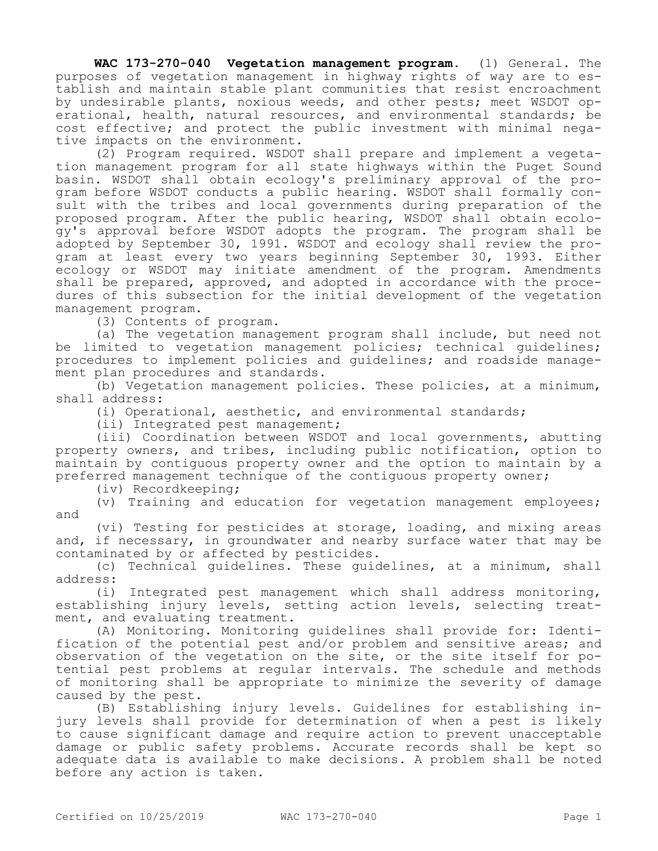**WAC 173-270-040 Vegetation management program.** (1) General. The purposes of vegetation management in highway rights of way are to establish and maintain stable plant communities that resist encroachment by undesirable plants, noxious weeds, and other pests; meet WSDOT operational, health, natural resources, and environmental standards; be cost effective; and protect the public investment with minimal negative impacts on the environment.

(2) Program required. WSDOT shall prepare and implement a vegetation management program for all state highways within the Puget Sound basin. WSDOT shall obtain ecology's preliminary approval of the program before WSDOT conducts a public hearing. WSDOT shall formally consult with the tribes and local governments during preparation of the proposed program. After the public hearing, WSDOT shall obtain ecology's approval before WSDOT adopts the program. The program shall be adopted by September 30, 1991. WSDOT and ecology shall review the program at least every two years beginning September 30, 1993. Either ecology or WSDOT may initiate amendment of the program. Amendments shall be prepared, approved, and adopted in accordance with the procedures of this subsection for the initial development of the vegetation management program.

(3) Contents of program.

(a) The vegetation management program shall include, but need not be limited to vegetation management policies; technical guidelines; procedures to implement policies and guidelines; and roadside management plan procedures and standards.

(b) Vegetation management policies. These policies, at a minimum, shall address:

(i) Operational, aesthetic, and environmental standards;

(ii) Integrated pest management;

(iii) Coordination between WSDOT and local governments, abutting property owners, and tribes, including public notification, option to maintain by contiguous property owner and the option to maintain by a preferred management technique of the contiguous property owner;

(iv) Recordkeeping;

(v) Training and education for vegetation management employees; and

(vi) Testing for pesticides at storage, loading, and mixing areas and, if necessary, in groundwater and nearby surface water that may be contaminated by or affected by pesticides.

(c) Technical guidelines. These guidelines, at a minimum, shall address:

(i) Integrated pest management which shall address monitoring, establishing injury levels, setting action levels, selecting treatment, and evaluating treatment.

(A) Monitoring. Monitoring guidelines shall provide for: Identification of the potential pest and/or problem and sensitive areas; and observation of the vegetation on the site, or the site itself for potential pest problems at regular intervals. The schedule and methods of monitoring shall be appropriate to minimize the severity of damage caused by the pest.

(B) Establishing injury levels. Guidelines for establishing injury levels shall provide for determination of when a pest is likely to cause significant damage and require action to prevent unacceptable damage or public safety problems. Accurate records shall be kept so adequate data is available to make decisions. A problem shall be noted before any action is taken.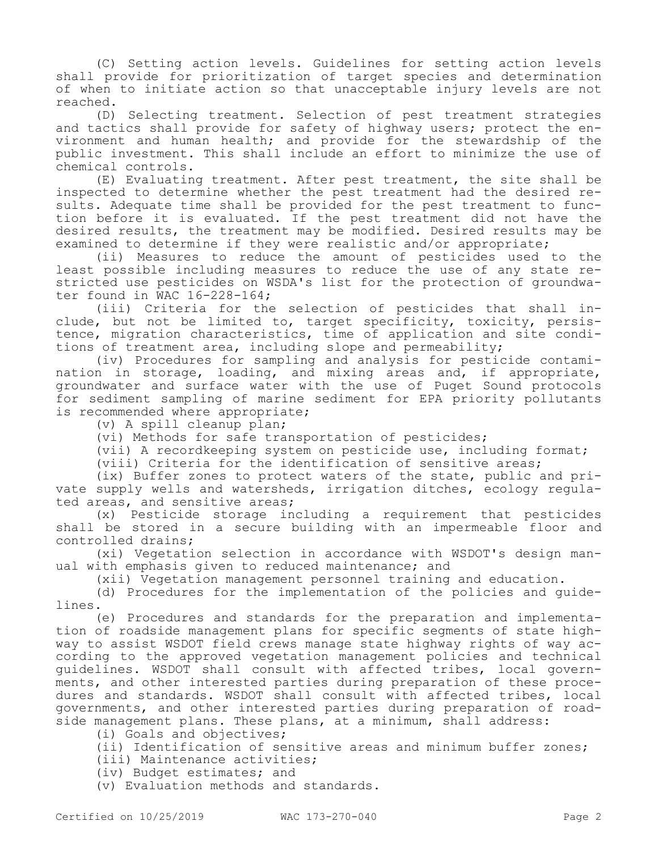(C) Setting action levels. Guidelines for setting action levels shall provide for prioritization of target species and determination of when to initiate action so that unacceptable injury levels are not reached.

(D) Selecting treatment. Selection of pest treatment strategies and tactics shall provide for safety of highway users; protect the environment and human health; and provide for the stewardship of the public investment. This shall include an effort to minimize the use of chemical controls.

(E) Evaluating treatment. After pest treatment, the site shall be inspected to determine whether the pest treatment had the desired results. Adequate time shall be provided for the pest treatment to function before it is evaluated. If the pest treatment did not have the desired results, the treatment may be modified. Desired results may be examined to determine if they were realistic and/or appropriate;

(ii) Measures to reduce the amount of pesticides used to the least possible including measures to reduce the use of any state restricted use pesticides on WSDA's list for the protection of groundwater found in  $\overline{W}$ AC 16-228-164;

(iii) Criteria for the selection of pesticides that shall include, but not be limited to, target specificity, toxicity, persistence, migration characteristics, time of application and site conditions of treatment area, including slope and permeability;

(iv) Procedures for sampling and analysis for pesticide contamination in storage, loading, and mixing areas and, if appropriate, groundwater and surface water with the use of Puget Sound protocols for sediment sampling of marine sediment for EPA priority pollutants is recommended where appropriate;

(v) A spill cleanup plan;

(vi) Methods for safe transportation of pesticides;

(vii) A recordkeeping system on pesticide use, including format;

(viii) Criteria for the identification of sensitive areas;

(ix) Buffer zones to protect waters of the state, public and private supply wells and watersheds, irrigation ditches, ecology regulated areas, and sensitive areas;

(x) Pesticide storage including a requirement that pesticides shall be stored in a secure building with an impermeable floor and controlled drains;

(xi) Vegetation selection in accordance with WSDOT's design manual with emphasis given to reduced maintenance; and

(xii) Vegetation management personnel training and education.

(d) Procedures for the implementation of the policies and guidelines.

(e) Procedures and standards for the preparation and implementation of roadside management plans for specific segments of state highway to assist WSDOT field crews manage state highway rights of way according to the approved vegetation management policies and technical guidelines. WSDOT shall consult with affected tribes, local governments, and other interested parties during preparation of these procedures and standards. WSDOT shall consult with affected tribes, local governments, and other interested parties during preparation of roadside management plans. These plans, at a minimum, shall address:

(i) Goals and objectives;

(ii) Identification of sensitive areas and minimum buffer zones;

(iii) Maintenance activities;

(iv) Budget estimates; and

(v) Evaluation methods and standards.